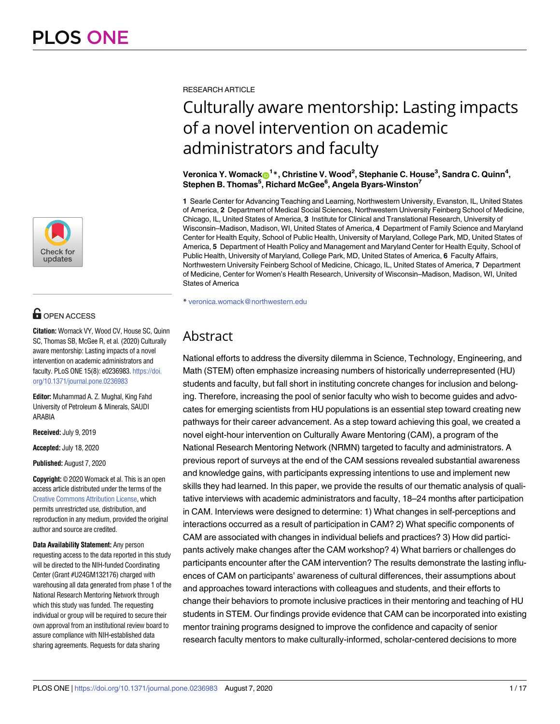

## **OPEN ACCESS**

**Citation:** Womack VY, Wood CV, House SC, Quinn SC, Thomas SB, McGee R, et al. (2020) Culturally aware mentorship: Lasting impacts of a novel intervention on academic administrators and faculty. PLoS ONE 15(8): e0236983. [https://doi.](https://doi.org/10.1371/journal.pone.0236983) [org/10.1371/journal.pone.0236983](https://doi.org/10.1371/journal.pone.0236983)

**Editor:** Muhammad A. Z. Mughal, King Fahd University of Petroleum & Minerals, SAUDI ARABIA

**Received:** July 9, 2019

**Accepted:** July 18, 2020

**Published:** August 7, 2020

**Copyright:** © 2020 Womack et al. This is an open access article distributed under the terms of the Creative Commons [Attribution](http://creativecommons.org/licenses/by/4.0/) License, which permits unrestricted use, distribution, and reproduction in any medium, provided the original author and source are credited.

**Data Availability Statement:** Any person requesting access to the data reported in this study will be directed to the NIH-funded Coordinating Center (Grant #U24GM132176) charged with warehousing all data generated from phase 1 of the National Research Mentoring Network through which this study was funded. The requesting individual or group will be required to secure their own approval from an institutional review board to assure compliance with NIH-established data sharing agreements. Requests for data sharing

RESEARCH ARTICLE

# Culturally aware mentorship: Lasting impacts of a novel intervention on academic administrators and faculty

#### $\mathbf{V}$ eronica Y. Womack $\mathbf{O}^{1*}$ , Christine V. Wood<sup>2</sup>, Stephanie C. House<sup>3</sup>, Sandra C. Quinn<sup>4</sup>, **Stephen B. Thomas5 , Richard McGee6 , Angela Byars-Winston7**

**1** Searle Center for Advancing Teaching and Learning, Northwestern University, Evanston, IL, United States of America, **2** Department of Medical Social Sciences, Northwestern University Feinberg School of Medicine, Chicago, IL, United States of America, **3** Institute for Clinical and Translational Research, University of Wisconsin–Madison, Madison, WI, United States of America, **4** Department of Family Science and Maryland Center for Health Equity, School of Public Health, University of Maryland, College Park, MD, United States of America, **5** Department of Health Policy and Management and Maryland Center for Health Equity, School of Public Health, University of Maryland, College Park, MD, United States of America, **6** Faculty Affairs, Northwestern University Feinberg School of Medicine, Chicago, IL, United States of America, **7** Department of Medicine, Center for Women's Health Research, University of Wisconsin–Madison, Madison, WI, United States of America

\* veronica.womack@northwestern.edu

## Abstract

National efforts to address the diversity dilemma in Science, Technology, Engineering, and Math (STEM) often emphasize increasing numbers of historically underrepresented (HU) students and faculty, but fall short in instituting concrete changes for inclusion and belonging. Therefore, increasing the pool of senior faculty who wish to become guides and advocates for emerging scientists from HU populations is an essential step toward creating new pathways for their career advancement. As a step toward achieving this goal, we created a novel eight-hour intervention on Culturally Aware Mentoring (CAM), a program of the National Research Mentoring Network (NRMN) targeted to faculty and administrators. A previous report of surveys at the end of the CAM sessions revealed substantial awareness and knowledge gains, with participants expressing intentions to use and implement new skills they had learned. In this paper, we provide the results of our thematic analysis of qualitative interviews with academic administrators and faculty, 18–24 months after participation in CAM. Interviews were designed to determine: 1) What changes in self-perceptions and interactions occurred as a result of participation in CAM? 2) What specific components of CAM are associated with changes in individual beliefs and practices? 3) How did participants actively make changes after the CAM workshop? 4) What barriers or challenges do participants encounter after the CAM intervention? The results demonstrate the lasting influences of CAM on participants' awareness of cultural differences, their assumptions about and approaches toward interactions with colleagues and students, and their efforts to change their behaviors to promote inclusive practices in their mentoring and teaching of HU students in STEM. Our findings provide evidence that CAM can be incorporated into existing mentor training programs designed to improve the confidence and capacity of senior research faculty mentors to make culturally-informed, scholar-centered decisions to more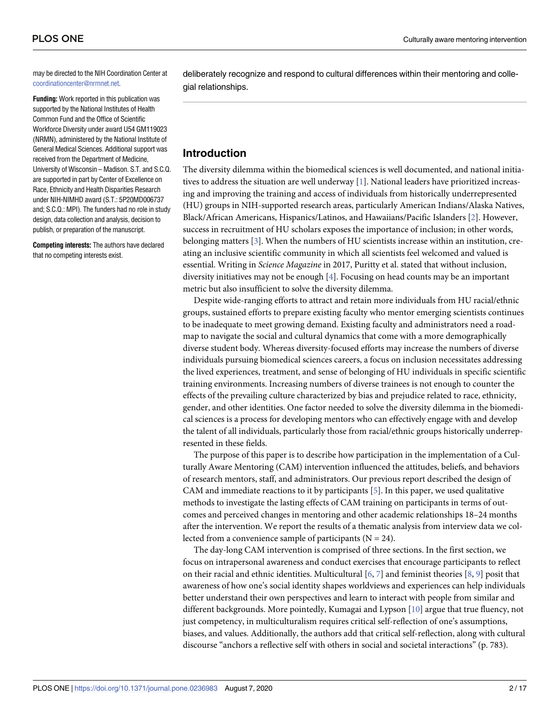<span id="page-1-0"></span>may be directed to the NIH Coordination Center at [coordinationcenter@nrmnet.net](mailto:coordinationcenter@nrmnet.net).

**Funding:** Work reported in this publication was supported by the National Institutes of Health Common Fund and the Office of Scientific Workforce Diversity under award U54 GM119023 (NRMN), administered by the National Institute of General Medical Sciences. Additional support was received from the Department of Medicine, University of Wisconsin – Madison. S.T. and S.C.Q. are supported in part by Center of Excellence on Race, Ethnicity and Health Disparities Research under NIH-NIMHD award (S.T.: 5P20MD006737 and; S.C.Q.: MPI). The funders had no role in study design, data collection and analysis, decision to publish, or preparation of the manuscript.

**Competing interests:** The authors have declared that no competing interests exist.

deliberately recognize and respond to cultural differences within their mentoring and collegial relationships.

## **Introduction**

The diversity dilemma within the biomedical sciences is well documented, and national initiatives to address the situation are well underway [[1\]](#page-15-0). National leaders have prioritized increasing and improving the training and access of individuals from historically underrepresented (HU) groups in NIH-supported research areas, particularly American Indians/Alaska Natives, Black/African Americans, Hispanics/Latinos, and Hawaiians/Pacific Islanders [\[2\]](#page-15-0). However, success in recruitment of HU scholars exposes the importance of inclusion; in other words, belonging matters [[3](#page-15-0)]. When the numbers of HU scientists increase within an institution, creating an inclusive scientific community in which all scientists feel welcomed and valued is essential. Writing in *Science Magazine* in 2017, Puritty et al. stated that without inclusion, diversity initiatives may not be enough [[4](#page-15-0)]. Focusing on head counts may be an important metric but also insufficient to solve the diversity dilemma.

Despite wide-ranging efforts to attract and retain more individuals from HU racial/ethnic groups, sustained efforts to prepare existing faculty who mentor emerging scientists continues to be inadequate to meet growing demand. Existing faculty and administrators need a roadmap to navigate the social and cultural dynamics that come with a more demographically diverse student body. Whereas diversity-focused efforts may increase the numbers of diverse individuals pursuing biomedical sciences careers, a focus on inclusion necessitates addressing the lived experiences, treatment, and sense of belonging of HU individuals in specific scientific training environments. Increasing numbers of diverse trainees is not enough to counter the effects of the prevailing culture characterized by bias and prejudice related to race, ethnicity, gender, and other identities. One factor needed to solve the diversity dilemma in the biomedical sciences is a process for developing mentors who can effectively engage with and develop the talent of all individuals, particularly those from racial/ethnic groups historically underrepresented in these fields.

The purpose of this paper is to describe how participation in the implementation of a Culturally Aware Mentoring (CAM) intervention influenced the attitudes, beliefs, and behaviors of research mentors, staff, and administrators. Our previous report described the design of CAM and immediate reactions to it by participants [\[5](#page-15-0)]. In this paper, we used qualitative methods to investigate the lasting effects of CAM training on participants in terms of outcomes and perceived changes in mentoring and other academic relationships 18–24 months after the intervention. We report the results of a thematic analysis from interview data we collected from a convenience sample of participants ( $N = 24$ ).

The day-long CAM intervention is comprised of three sections. In the first section, we focus on intrapersonal awareness and conduct exercises that encourage participants to reflect on their racial and ethnic identities. Multicultural  $[6, 7]$  $[6, 7]$  $[6, 7]$  $[6, 7]$  and feminist theories  $[8, 9]$  $[8, 9]$  $[8, 9]$  $[8, 9]$  posit that awareness of how one's social identity shapes worldviews and experiences can help individuals better understand their own perspectives and learn to interact with people from similar and different backgrounds. More pointedly, Kumagai and Lypson [[10](#page-16-0)] argue that true fluency, not just competency, in multiculturalism requires critical self-reflection of one's assumptions, biases, and values. Additionally, the authors add that critical self-reflection, along with cultural discourse "anchors a reflective self with others in social and societal interactions" (p. 783).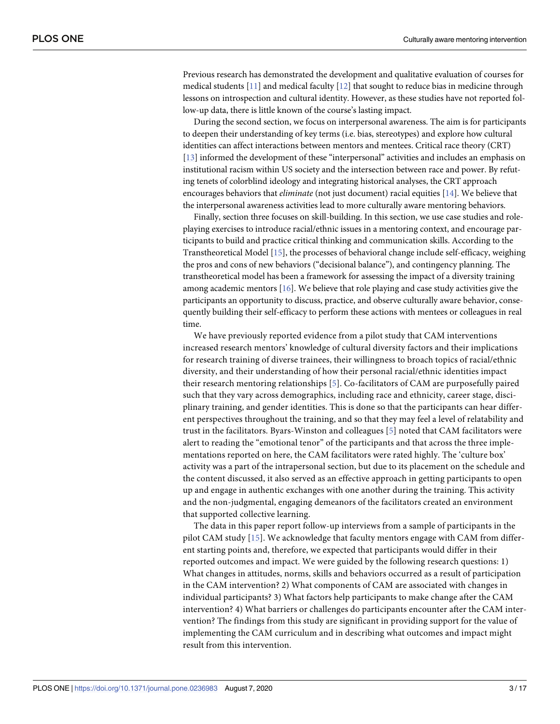<span id="page-2-0"></span>Previous research has demonstrated the development and qualitative evaluation of courses for medical students [[11](#page-16-0)] and medical faculty [\[12\]](#page-16-0) that sought to reduce bias in medicine through lessons on introspection and cultural identity. However, as these studies have not reported follow-up data, there is little known of the course's lasting impact.

During the second section, we focus on interpersonal awareness. The aim is for participants to deepen their understanding of key terms (i.e. bias, stereotypes) and explore how cultural identities can affect interactions between mentors and mentees. Critical race theory (CRT) [\[13\]](#page-16-0) informed the development of these "interpersonal" activities and includes an emphasis on institutional racism within US society and the intersection between race and power. By refuting tenets of colorblind ideology and integrating historical analyses, the CRT approach encourages behaviors that *eliminate* (not just document) racial equities [\[14](#page-16-0)]. We believe that the interpersonal awareness activities lead to more culturally aware mentoring behaviors.

Finally, section three focuses on skill-building. In this section, we use case studies and roleplaying exercises to introduce racial/ethnic issues in a mentoring context, and encourage participants to build and practice critical thinking and communication skills. According to the Transtheoretical Model [\[15\]](#page-16-0), the processes of behavioral change include self-efficacy, weighing the pros and cons of new behaviors ("decisional balance"), and contingency planning. The transtheoretical model has been a framework for assessing the impact of a diversity training among academic mentors [[16](#page-16-0)]. We believe that role playing and case study activities give the participants an opportunity to discuss, practice, and observe culturally aware behavior, consequently building their self-efficacy to perform these actions with mentees or colleagues in real time.

We have previously reported evidence from a pilot study that CAM interventions increased research mentors' knowledge of cultural diversity factors and their implications for research training of diverse trainees, their willingness to broach topics of racial/ethnic diversity, and their understanding of how their personal racial/ethnic identities impact their research mentoring relationships [\[5](#page-15-0)]. Co-facilitators of CAM are purposefully paired such that they vary across demographics, including race and ethnicity, career stage, disciplinary training, and gender identities. This is done so that the participants can hear different perspectives throughout the training, and so that they may feel a level of relatability and trust in the facilitators. Byars-Winston and colleagues [\[5](#page-15-0)] noted that CAM facilitators were alert to reading the "emotional tenor" of the participants and that across the three implementations reported on here, the CAM facilitators were rated highly. The 'culture box' activity was a part of the intrapersonal section, but due to its placement on the schedule and the content discussed, it also served as an effective approach in getting participants to open up and engage in authentic exchanges with one another during the training. This activity and the non-judgmental, engaging demeanors of the facilitators created an environment that supported collective learning.

The data in this paper report follow-up interviews from a sample of participants in the pilot CAM study [\[15](#page-16-0)]. We acknowledge that faculty mentors engage with CAM from different starting points and, therefore, we expected that participants would differ in their reported outcomes and impact. We were guided by the following research questions: 1) What changes in attitudes, norms, skills and behaviors occurred as a result of participation in the CAM intervention? 2) What components of CAM are associated with changes in individual participants? 3) What factors help participants to make change after the CAM intervention? 4) What barriers or challenges do participants encounter after the CAM intervention? The findings from this study are significant in providing support for the value of implementing the CAM curriculum and in describing what outcomes and impact might result from this intervention.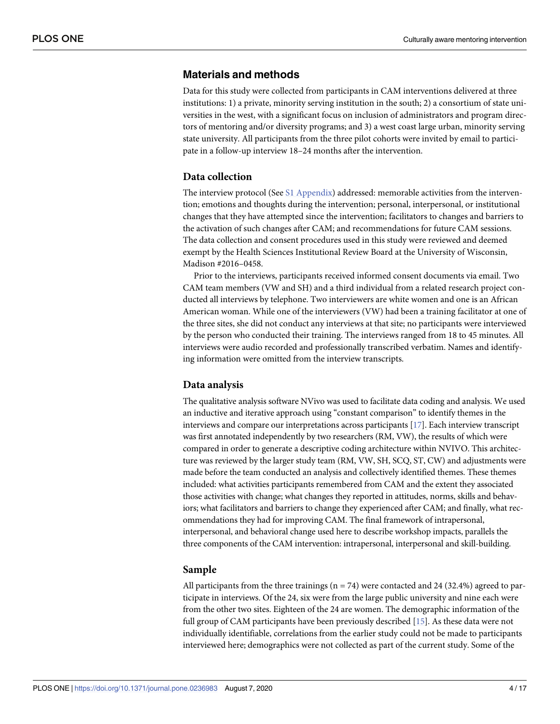## <span id="page-3-0"></span>**Materials and methods**

Data for this study were collected from participants in CAM interventions delivered at three institutions: 1) a private, minority serving institution in the south; 2) a consortium of state universities in the west, with a significant focus on inclusion of administrators and program directors of mentoring and/or diversity programs; and 3) a west coast large urban, minority serving state university. All participants from the three pilot cohorts were invited by email to participate in a follow-up interview 18–24 months after the intervention.

#### **Data collection**

The interview protocol (See S1 [Appendix](#page-15-0)) addressed: memorable activities from the intervention; emotions and thoughts during the intervention; personal, interpersonal, or institutional changes that they have attempted since the intervention; facilitators to changes and barriers to the activation of such changes after CAM; and recommendations for future CAM sessions. The data collection and consent procedures used in this study were reviewed and deemed exempt by the Health Sciences Institutional Review Board at the University of Wisconsin, Madison #2016–0458.

Prior to the interviews, participants received informed consent documents via email. Two CAM team members (VW and SH) and a third individual from a related research project conducted all interviews by telephone. Two interviewers are white women and one is an African American woman. While one of the interviewers (VW) had been a training facilitator at one of the three sites, she did not conduct any interviews at that site; no participants were interviewed by the person who conducted their training. The interviews ranged from 18 to 45 minutes. All interviews were audio recorded and professionally transcribed verbatim. Names and identifying information were omitted from the interview transcripts.

#### **Data analysis**

The qualitative analysis software NVivo was used to facilitate data coding and analysis. We used an inductive and iterative approach using "constant comparison" to identify themes in the interviews and compare our interpretations across participants [[17](#page-16-0)]. Each interview transcript was first annotated independently by two researchers (RM, VW), the results of which were compared in order to generate a descriptive coding architecture within NVIVO. This architecture was reviewed by the larger study team (RM, VW, SH, SCQ, ST, CW) and adjustments were made before the team conducted an analysis and collectively identified themes. These themes included: what activities participants remembered from CAM and the extent they associated those activities with change; what changes they reported in attitudes, norms, skills and behaviors; what facilitators and barriers to change they experienced after CAM; and finally, what recommendations they had for improving CAM. The final framework of intrapersonal, interpersonal, and behavioral change used here to describe workshop impacts, parallels the three components of the CAM intervention: intrapersonal, interpersonal and skill-building.

#### **Sample**

All participants from the three trainings ( $n = 74$ ) were contacted and 24 (32.4%) agreed to participate in interviews. Of the 24, six were from the large public university and nine each were from the other two sites. Eighteen of the 24 are women. The demographic information of the full group of CAM participants have been previously described [[15](#page-16-0)]. As these data were not individually identifiable, correlations from the earlier study could not be made to participants interviewed here; demographics were not collected as part of the current study. Some of the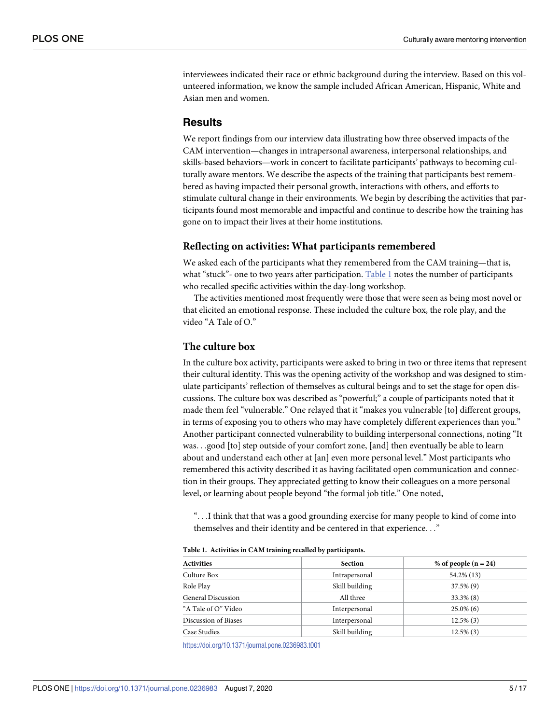interviewees indicated their race or ethnic background during the interview. Based on this volunteered information, we know the sample included African American, Hispanic, White and Asian men and women.

## **Results**

We report findings from our interview data illustrating how three observed impacts of the CAM intervention—changes in intrapersonal awareness, interpersonal relationships, and skills-based behaviors—work in concert to facilitate participants' pathways to becoming culturally aware mentors. We describe the aspects of the training that participants best remembered as having impacted their personal growth, interactions with others, and efforts to stimulate cultural change in their environments. We begin by describing the activities that participants found most memorable and impactful and continue to describe how the training has gone on to impact their lives at their home institutions.

#### **Reflecting on activities: What participants remembered**

We asked each of the participants what they remembered from the CAM training—that is, what "stuck"- one to two years after participation. Table 1 notes the number of participants who recalled specific activities within the day-long workshop.

The activities mentioned most frequently were those that were seen as being most novel or that elicited an emotional response. These included the culture box, the role play, and the video "A Tale of O."

## **The culture box**

In the culture box activity, participants were asked to bring in two or three items that represent their cultural identity. This was the opening activity of the workshop and was designed to stimulate participants' reflection of themselves as cultural beings and to set the stage for open discussions. The culture box was described as "powerful;" a couple of participants noted that it made them feel "vulnerable." One relayed that it "makes you vulnerable [to] different groups, in terms of exposing you to others who may have completely different experiences than you." Another participant connected vulnerability to building interpersonal connections, noting "It was. . .good [to] step outside of your comfort zone, [and] then eventually be able to learn about and understand each other at [an] even more personal level." Most participants who remembered this activity described it as having facilitated open communication and connection in their groups. They appreciated getting to know their colleagues on a more personal level, or learning about people beyond "the formal job title." One noted,

". . .I think that that was a good grounding exercise for many people to kind of come into themselves and their identity and be centered in that experience. . ."

| <b>Activities</b>    | <b>Section</b> | % of people $(n = 24)$ |
|----------------------|----------------|------------------------|
| Culture Box          | Intrapersonal  | 54.2% (13)             |
| Role Play            | Skill building | $37.5\%$ (9)           |
| General Discussion   | All three      | 33.3% (8)              |
| "A Tale of O" Video  | Interpersonal  | $25.0\%$ (6)           |
| Discussion of Biases | Interpersonal  | $12.5\%$ (3)           |
| Case Studies         | Skill building | $12.5\%$ (3)           |

**Table 1. Activities in CAM training recalled by participants.**

<https://doi.org/10.1371/journal.pone.0236983.t001>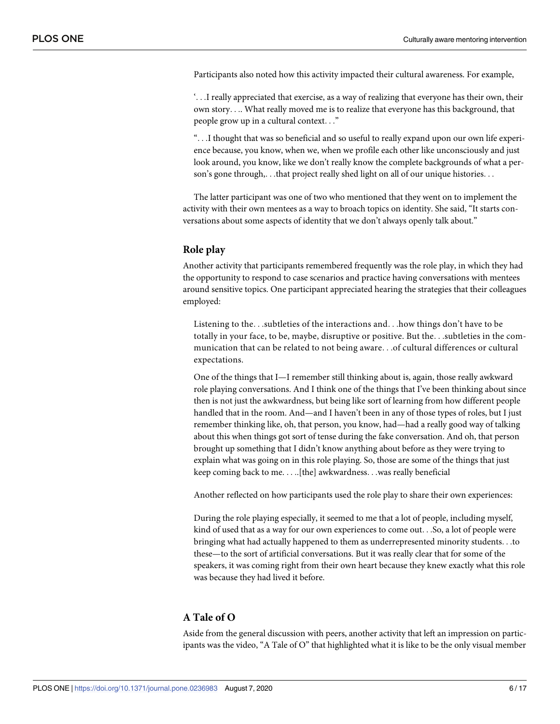Participants also noted how this activity impacted their cultural awareness. For example,

'. . .I really appreciated that exercise, as a way of realizing that everyone has their own, their own story. . .. What really moved me is to realize that everyone has this background, that people grow up in a cultural context. . ."

". . .I thought that was so beneficial and so useful to really expand upon our own life experience because, you know, when we, when we profile each other like unconsciously and just look around, you know, like we don't really know the complete backgrounds of what a person's gone through,...that project really shed light on all of our unique histories...

The latter participant was one of two who mentioned that they went on to implement the activity with their own mentees as a way to broach topics on identity. She said, "It starts conversations about some aspects of identity that we don't always openly talk about."

## **Role play**

Another activity that participants remembered frequently was the role play, in which they had the opportunity to respond to case scenarios and practice having conversations with mentees around sensitive topics. One participant appreciated hearing the strategies that their colleagues employed:

Listening to the. . .subtleties of the interactions and. . .how things don't have to be totally in your face, to be, maybe, disruptive or positive. But the. . .subtleties in the communication that can be related to not being aware. . .of cultural differences or cultural expectations.

One of the things that I—I remember still thinking about is, again, those really awkward role playing conversations. And I think one of the things that I've been thinking about since then is not just the awkwardness, but being like sort of learning from how different people handled that in the room. And—and I haven't been in any of those types of roles, but I just remember thinking like, oh, that person, you know, had—had a really good way of talking about this when things got sort of tense during the fake conversation. And oh, that person brought up something that I didn't know anything about before as they were trying to explain what was going on in this role playing. So, those are some of the things that just keep coming back to me. . . ..[the] awkwardness. . .was really beneficial

Another reflected on how participants used the role play to share their own experiences:

During the role playing especially, it seemed to me that a lot of people, including myself, kind of used that as a way for our own experiences to come out. . .So, a lot of people were bringing what had actually happened to them as underrepresented minority students. . .to these—to the sort of artificial conversations. But it was really clear that for some of the speakers, it was coming right from their own heart because they knew exactly what this role was because they had lived it before.

## **A Tale of O**

Aside from the general discussion with peers, another activity that left an impression on participants was the video, "A Tale of O" that highlighted what it is like to be the only visual member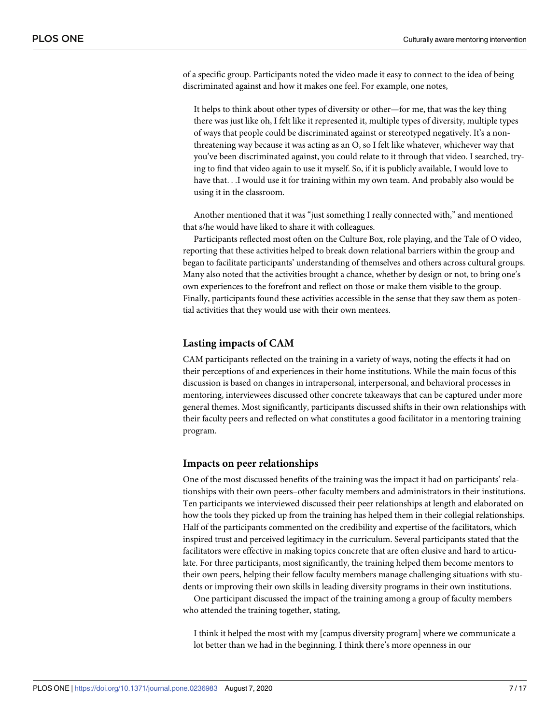of a specific group. Participants noted the video made it easy to connect to the idea of being discriminated against and how it makes one feel. For example, one notes,

It helps to think about other types of diversity or other—for me, that was the key thing there was just like oh, I felt like it represented it, multiple types of diversity, multiple types of ways that people could be discriminated against or stereotyped negatively. It's a nonthreatening way because it was acting as an O, so I felt like whatever, whichever way that you've been discriminated against, you could relate to it through that video. I searched, trying to find that video again to use it myself. So, if it is publicly available, I would love to have that. . .I would use it for training within my own team. And probably also would be using it in the classroom.

Another mentioned that it was "just something I really connected with," and mentioned that s/he would have liked to share it with colleagues.

Participants reflected most often on the Culture Box, role playing, and the Tale of O video, reporting that these activities helped to break down relational barriers within the group and began to facilitate participants' understanding of themselves and others across cultural groups. Many also noted that the activities brought a chance, whether by design or not, to bring one's own experiences to the forefront and reflect on those or make them visible to the group. Finally, participants found these activities accessible in the sense that they saw them as potential activities that they would use with their own mentees.

#### **Lasting impacts of CAM**

CAM participants reflected on the training in a variety of ways, noting the effects it had on their perceptions of and experiences in their home institutions. While the main focus of this discussion is based on changes in intrapersonal, interpersonal, and behavioral processes in mentoring, interviewees discussed other concrete takeaways that can be captured under more general themes. Most significantly, participants discussed shifts in their own relationships with their faculty peers and reflected on what constitutes a good facilitator in a mentoring training program.

#### **Impacts on peer relationships**

One of the most discussed benefits of the training was the impact it had on participants' relationships with their own peers–other faculty members and administrators in their institutions. Ten participants we interviewed discussed their peer relationships at length and elaborated on how the tools they picked up from the training has helped them in their collegial relationships. Half of the participants commented on the credibility and expertise of the facilitators, which inspired trust and perceived legitimacy in the curriculum. Several participants stated that the facilitators were effective in making topics concrete that are often elusive and hard to articulate. For three participants, most significantly, the training helped them become mentors to their own peers, helping their fellow faculty members manage challenging situations with students or improving their own skills in leading diversity programs in their own institutions.

One participant discussed the impact of the training among a group of faculty members who attended the training together, stating,

I think it helped the most with my [campus diversity program] where we communicate a lot better than we had in the beginning. I think there's more openness in our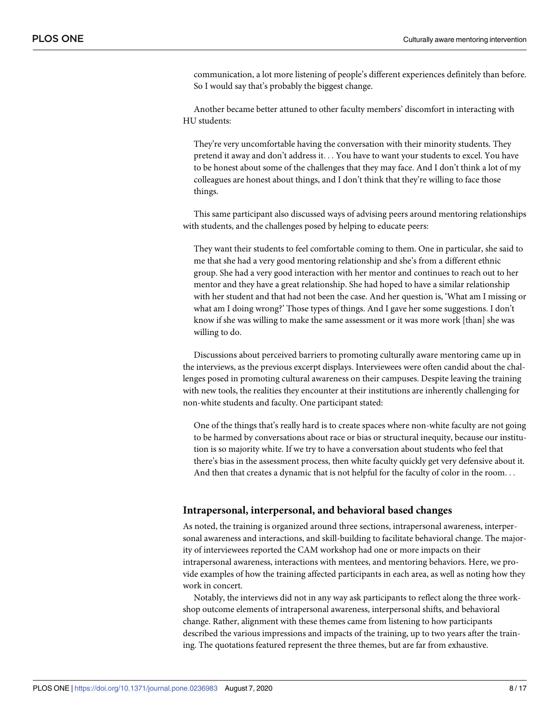communication, a lot more listening of people's different experiences definitely than before. So I would say that's probably the biggest change.

Another became better attuned to other faculty members' discomfort in interacting with HU students:

They're very uncomfortable having the conversation with their minority students. They pretend it away and don't address it. . . You have to want your students to excel. You have to be honest about some of the challenges that they may face. And I don't think a lot of my colleagues are honest about things, and I don't think that they're willing to face those things.

This same participant also discussed ways of advising peers around mentoring relationships with students, and the challenges posed by helping to educate peers:

They want their students to feel comfortable coming to them. One in particular, she said to me that she had a very good mentoring relationship and she's from a different ethnic group. She had a very good interaction with her mentor and continues to reach out to her mentor and they have a great relationship. She had hoped to have a similar relationship with her student and that had not been the case. And her question is, 'What am I missing or what am I doing wrong?' Those types of things. And I gave her some suggestions. I don't know if she was willing to make the same assessment or it was more work [than] she was willing to do.

Discussions about perceived barriers to promoting culturally aware mentoring came up in the interviews, as the previous excerpt displays. Interviewees were often candid about the challenges posed in promoting cultural awareness on their campuses. Despite leaving the training with new tools, the realities they encounter at their institutions are inherently challenging for non-white students and faculty. One participant stated:

One of the things that's really hard is to create spaces where non-white faculty are not going to be harmed by conversations about race or bias or structural inequity, because our institution is so majority white. If we try to have a conversation about students who feel that there's bias in the assessment process, then white faculty quickly get very defensive about it. And then that creates a dynamic that is not helpful for the faculty of color in the room...

#### **Intrapersonal, interpersonal, and behavioral based changes**

As noted, the training is organized around three sections, intrapersonal awareness, interpersonal awareness and interactions, and skill-building to facilitate behavioral change. The majority of interviewees reported the CAM workshop had one or more impacts on their intrapersonal awareness, interactions with mentees, and mentoring behaviors. Here, we provide examples of how the training affected participants in each area, as well as noting how they work in concert.

Notably, the interviews did not in any way ask participants to reflect along the three workshop outcome elements of intrapersonal awareness, interpersonal shifts, and behavioral change. Rather, alignment with these themes came from listening to how participants described the various impressions and impacts of the training, up to two years after the training. The quotations featured represent the three themes, but are far from exhaustive.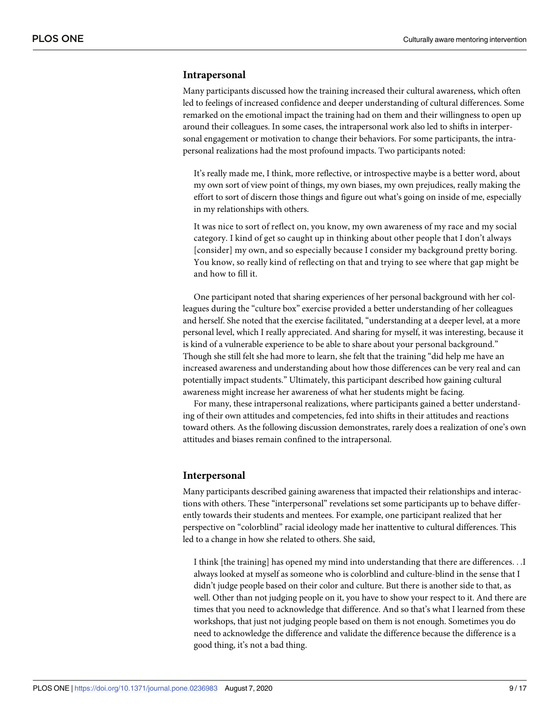#### **Intrapersonal**

Many participants discussed how the training increased their cultural awareness, which often led to feelings of increased confidence and deeper understanding of cultural differences. Some remarked on the emotional impact the training had on them and their willingness to open up around their colleagues. In some cases, the intrapersonal work also led to shifts in interpersonal engagement or motivation to change their behaviors. For some participants, the intrapersonal realizations had the most profound impacts. Two participants noted:

It's really made me, I think, more reflective, or introspective maybe is a better word, about my own sort of view point of things, my own biases, my own prejudices, really making the effort to sort of discern those things and figure out what's going on inside of me, especially in my relationships with others.

It was nice to sort of reflect on, you know, my own awareness of my race and my social category. I kind of get so caught up in thinking about other people that I don't always [consider] my own, and so especially because I consider my background pretty boring. You know, so really kind of reflecting on that and trying to see where that gap might be and how to fill it.

One participant noted that sharing experiences of her personal background with her colleagues during the "culture box" exercise provided a better understanding of her colleagues and herself. She noted that the exercise facilitated, "understanding at a deeper level, at a more personal level, which I really appreciated. And sharing for myself, it was interesting, because it is kind of a vulnerable experience to be able to share about your personal background." Though she still felt she had more to learn, she felt that the training "did help me have an increased awareness and understanding about how those differences can be very real and can potentially impact students." Ultimately, this participant described how gaining cultural awareness might increase her awareness of what her students might be facing.

For many, these intrapersonal realizations, where participants gained a better understanding of their own attitudes and competencies, fed into shifts in their attitudes and reactions toward others. As the following discussion demonstrates, rarely does a realization of one's own attitudes and biases remain confined to the intrapersonal.

#### **Interpersonal**

Many participants described gaining awareness that impacted their relationships and interactions with others. These "interpersonal" revelations set some participants up to behave differently towards their students and mentees. For example, one participant realized that her perspective on "colorblind" racial ideology made her inattentive to cultural differences. This led to a change in how she related to others. She said,

I think [the training] has opened my mind into understanding that there are differences. . .I always looked at myself as someone who is colorblind and culture-blind in the sense that I didn't judge people based on their color and culture. But there is another side to that, as well. Other than not judging people on it, you have to show your respect to it. And there are times that you need to acknowledge that difference. And so that's what I learned from these workshops, that just not judging people based on them is not enough. Sometimes you do need to acknowledge the difference and validate the difference because the difference is a good thing, it's not a bad thing.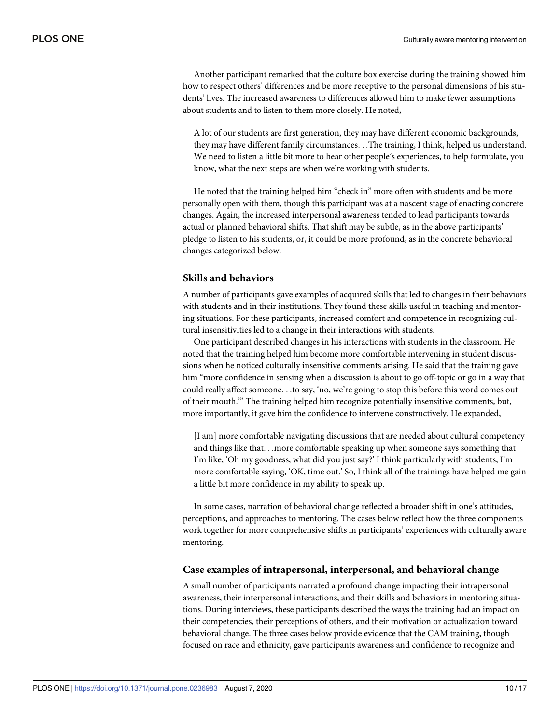Another participant remarked that the culture box exercise during the training showed him how to respect others' differences and be more receptive to the personal dimensions of his students' lives. The increased awareness to differences allowed him to make fewer assumptions about students and to listen to them more closely. He noted,

A lot of our students are first generation, they may have different economic backgrounds, they may have different family circumstances. . .The training, I think, helped us understand. We need to listen a little bit more to hear other people's experiences, to help formulate, you know, what the next steps are when we're working with students.

He noted that the training helped him "check in" more often with students and be more personally open with them, though this participant was at a nascent stage of enacting concrete changes. Again, the increased interpersonal awareness tended to lead participants towards actual or planned behavioral shifts. That shift may be subtle, as in the above participants' pledge to listen to his students, or, it could be more profound, as in the concrete behavioral changes categorized below.

## **Skills and behaviors**

A number of participants gave examples of acquired skills that led to changes in their behaviors with students and in their institutions. They found these skills useful in teaching and mentoring situations. For these participants, increased comfort and competence in recognizing cultural insensitivities led to a change in their interactions with students.

One participant described changes in his interactions with students in the classroom. He noted that the training helped him become more comfortable intervening in student discussions when he noticed culturally insensitive comments arising. He said that the training gave him "more confidence in sensing when a discussion is about to go off-topic or go in a way that could really affect someone. . .to say, 'no, we're going to stop this before this word comes out of their mouth.'" The training helped him recognize potentially insensitive comments, but, more importantly, it gave him the confidence to intervene constructively. He expanded,

[I am] more comfortable navigating discussions that are needed about cultural competency and things like that. . .more comfortable speaking up when someone says something that I'm like, 'Oh my goodness, what did you just say?' I think particularly with students, I'm more comfortable saying, 'OK, time out.' So, I think all of the trainings have helped me gain a little bit more confidence in my ability to speak up.

In some cases, narration of behavioral change reflected a broader shift in one's attitudes, perceptions, and approaches to mentoring. The cases below reflect how the three components work together for more comprehensive shifts in participants' experiences with culturally aware mentoring.

#### **Case examples of intrapersonal, interpersonal, and behavioral change**

A small number of participants narrated a profound change impacting their intrapersonal awareness, their interpersonal interactions, and their skills and behaviors in mentoring situations. During interviews, these participants described the ways the training had an impact on their competencies, their perceptions of others, and their motivation or actualization toward behavioral change. The three cases below provide evidence that the CAM training, though focused on race and ethnicity, gave participants awareness and confidence to recognize and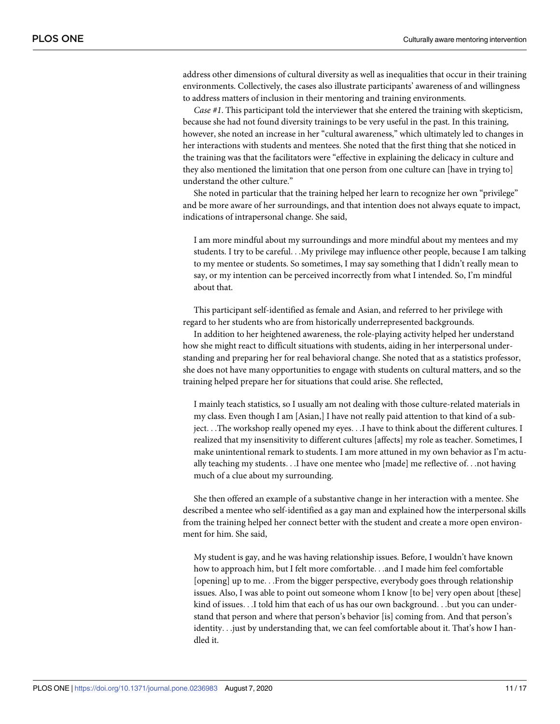address other dimensions of cultural diversity as well as inequalities that occur in their training environments. Collectively, the cases also illustrate participants' awareness of and willingness to address matters of inclusion in their mentoring and training environments.

*Case #1*. This participant told the interviewer that she entered the training with skepticism, because she had not found diversity trainings to be very useful in the past. In this training, however, she noted an increase in her "cultural awareness," which ultimately led to changes in her interactions with students and mentees. She noted that the first thing that she noticed in the training was that the facilitators were "effective in explaining the delicacy in culture and they also mentioned the limitation that one person from one culture can [have in trying to] understand the other culture."

She noted in particular that the training helped her learn to recognize her own "privilege" and be more aware of her surroundings, and that intention does not always equate to impact, indications of intrapersonal change. She said,

I am more mindful about my surroundings and more mindful about my mentees and my students. I try to be careful. . .My privilege may influence other people, because I am talking to my mentee or students. So sometimes, I may say something that I didn't really mean to say, or my intention can be perceived incorrectly from what I intended. So, I'm mindful about that.

This participant self-identified as female and Asian, and referred to her privilege with regard to her students who are from historically underrepresented backgrounds.

In addition to her heightened awareness, the role-playing activity helped her understand how she might react to difficult situations with students, aiding in her interpersonal understanding and preparing her for real behavioral change. She noted that as a statistics professor, she does not have many opportunities to engage with students on cultural matters, and so the training helped prepare her for situations that could arise. She reflected,

I mainly teach statistics, so I usually am not dealing with those culture-related materials in my class. Even though I am [Asian,] I have not really paid attention to that kind of a subject. . .The workshop really opened my eyes. . .I have to think about the different cultures. I realized that my insensitivity to different cultures [affects] my role as teacher. Sometimes, I make unintentional remark to students. I am more attuned in my own behavior as I'm actually teaching my students. . .I have one mentee who [made] me reflective of. . .not having much of a clue about my surrounding.

She then offered an example of a substantive change in her interaction with a mentee. She described a mentee who self-identified as a gay man and explained how the interpersonal skills from the training helped her connect better with the student and create a more open environment for him. She said,

My student is gay, and he was having relationship issues. Before, I wouldn't have known how to approach him, but I felt more comfortable. . .and I made him feel comfortable [opening] up to me. . .From the bigger perspective, everybody goes through relationship issues. Also, I was able to point out someone whom I know [to be] very open about [these] kind of issues. . .I told him that each of us has our own background. . .but you can understand that person and where that person's behavior [is] coming from. And that person's identity. . .just by understanding that, we can feel comfortable about it. That's how I handled it.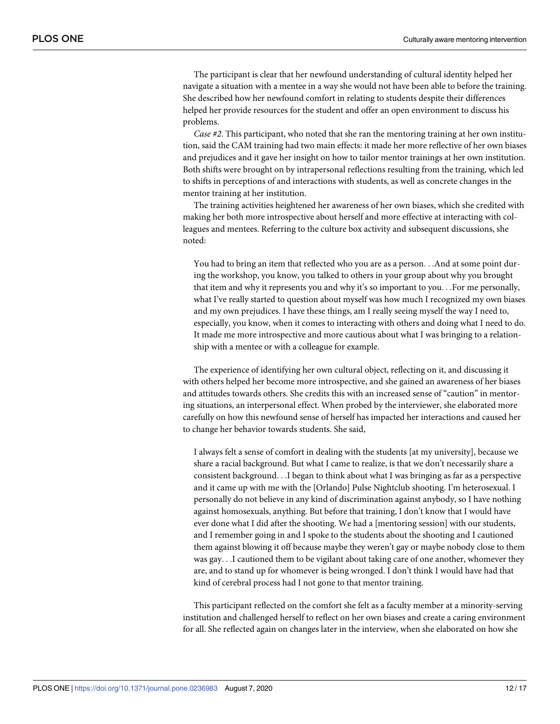The participant is clear that her newfound understanding of cultural identity helped her navigate a situation with a mentee in a way she would not have been able to before the training. She described how her newfound comfort in relating to students despite their differences helped her provide resources for the student and offer an open environment to discuss his problems.

*Case #2*. This participant, who noted that she ran the mentoring training at her own institution, said the CAM training had two main effects: it made her more reflective of her own biases and prejudices and it gave her insight on how to tailor mentor trainings at her own institution. Both shifts were brought on by intrapersonal reflections resulting from the training, which led to shifts in perceptions of and interactions with students, as well as concrete changes in the mentor training at her institution.

The training activities heightened her awareness of her own biases, which she credited with making her both more introspective about herself and more effective at interacting with colleagues and mentees. Referring to the culture box activity and subsequent discussions, she noted:

You had to bring an item that reflected who you are as a person. . .And at some point during the workshop, you know, you talked to others in your group about why you brought that item and why it represents you and why it's so important to you. . .For me personally, what I've really started to question about myself was how much I recognized my own biases and my own prejudices. I have these things, am I really seeing myself the way I need to, especially, you know, when it comes to interacting with others and doing what I need to do. It made me more introspective and more cautious about what I was bringing to a relationship with a mentee or with a colleague for example.

The experience of identifying her own cultural object, reflecting on it, and discussing it with others helped her become more introspective, and she gained an awareness of her biases and attitudes towards others. She credits this with an increased sense of "caution" in mentoring situations, an interpersonal effect. When probed by the interviewer, she elaborated more carefully on how this newfound sense of herself has impacted her interactions and caused her to change her behavior towards students. She said,

I always felt a sense of comfort in dealing with the students [at my university], because we share a racial background. But what I came to realize, is that we don't necessarily share a consistent background. . .I began to think about what I was bringing as far as a perspective and it came up with me with the [Orlando] Pulse Nightclub shooting. I'm heterosexual. I personally do not believe in any kind of discrimination against anybody, so I have nothing against homosexuals, anything. But before that training, I don't know that I would have ever done what I did after the shooting. We had a [mentoring session] with our students, and I remember going in and I spoke to the students about the shooting and I cautioned them against blowing it off because maybe they weren't gay or maybe nobody close to them was gay. . .I cautioned them to be vigilant about taking care of one another, whomever they are, and to stand up for whomever is being wronged. I don't think I would have had that kind of cerebral process had I not gone to that mentor training.

This participant reflected on the comfort she felt as a faculty member at a minority-serving institution and challenged herself to reflect on her own biases and create a caring environment for all. She reflected again on changes later in the interview, when she elaborated on how she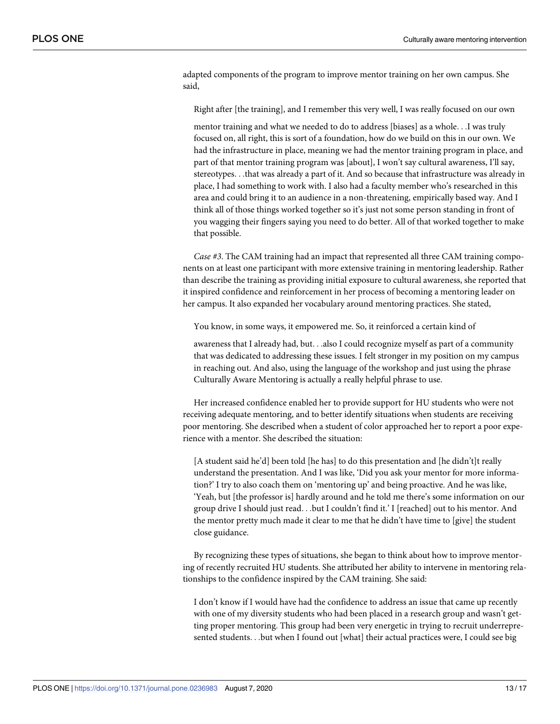adapted components of the program to improve mentor training on her own campus. She said,

Right after [the training], and I remember this very well, I was really focused on our own

mentor training and what we needed to do to address [biases] as a whole. . .I was truly focused on, all right, this is sort of a foundation, how do we build on this in our own. We had the infrastructure in place, meaning we had the mentor training program in place, and part of that mentor training program was [about], I won't say cultural awareness, I'll say, stereotypes. . .that was already a part of it. And so because that infrastructure was already in place, I had something to work with. I also had a faculty member who's researched in this area and could bring it to an audience in a non-threatening, empirically based way. And I think all of those things worked together so it's just not some person standing in front of you wagging their fingers saying you need to do better. All of that worked together to make that possible.

*Case #3*. The CAM training had an impact that represented all three CAM training components on at least one participant with more extensive training in mentoring leadership. Rather than describe the training as providing initial exposure to cultural awareness, she reported that it inspired confidence and reinforcement in her process of becoming a mentoring leader on her campus. It also expanded her vocabulary around mentoring practices. She stated,

You know, in some ways, it empowered me. So, it reinforced a certain kind of

awareness that I already had, but. . .also I could recognize myself as part of a community that was dedicated to addressing these issues. I felt stronger in my position on my campus in reaching out. And also, using the language of the workshop and just using the phrase Culturally Aware Mentoring is actually a really helpful phrase to use.

Her increased confidence enabled her to provide support for HU students who were not receiving adequate mentoring, and to better identify situations when students are receiving poor mentoring. She described when a student of color approached her to report a poor experience with a mentor. She described the situation:

[A student said he'd] been told [he has] to do this presentation and [he didn't]t really understand the presentation. And I was like, 'Did you ask your mentor for more information?' I try to also coach them on 'mentoring up' and being proactive. And he was like, 'Yeah, but [the professor is] hardly around and he told me there's some information on our group drive I should just read. . .but I couldn't find it.' I [reached] out to his mentor. And the mentor pretty much made it clear to me that he didn't have time to [give] the student close guidance.

By recognizing these types of situations, she began to think about how to improve mentoring of recently recruited HU students. She attributed her ability to intervene in mentoring relationships to the confidence inspired by the CAM training. She said:

I don't know if I would have had the confidence to address an issue that came up recently with one of my diversity students who had been placed in a research group and wasn't getting proper mentoring. This group had been very energetic in trying to recruit underrepresented students. . .but when I found out [what] their actual practices were, I could see big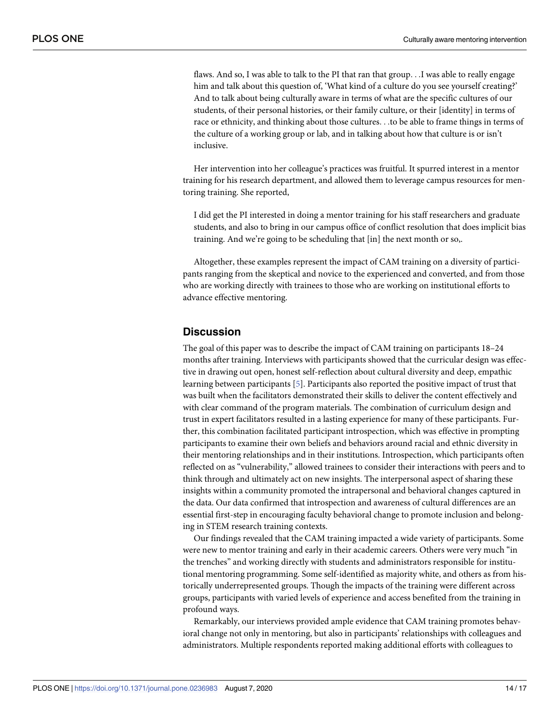flaws. And so, I was able to talk to the PI that ran that group. . .I was able to really engage him and talk about this question of, 'What kind of a culture do you see yourself creating?' And to talk about being culturally aware in terms of what are the specific cultures of our students, of their personal histories, or their family culture, or their [identity] in terms of race or ethnicity, and thinking about those cultures. . .to be able to frame things in terms of the culture of a working group or lab, and in talking about how that culture is or isn't inclusive.

Her intervention into her colleague's practices was fruitful. It spurred interest in a mentor training for his research department, and allowed them to leverage campus resources for mentoring training. She reported,

I did get the PI interested in doing a mentor training for his staff researchers and graduate students, and also to bring in our campus office of conflict resolution that does implicit bias training. And we're going to be scheduling that [in] the next month or so,.

Altogether, these examples represent the impact of CAM training on a diversity of participants ranging from the skeptical and novice to the experienced and converted, and from those who are working directly with trainees to those who are working on institutional efforts to advance effective mentoring.

## **Discussion**

The goal of this paper was to describe the impact of CAM training on participants 18–24 months after training. Interviews with participants showed that the curricular design was effective in drawing out open, honest self-reflection about cultural diversity and deep, empathic learning between participants [\[5](#page-15-0)]. Participants also reported the positive impact of trust that was built when the facilitators demonstrated their skills to deliver the content effectively and with clear command of the program materials. The combination of curriculum design and trust in expert facilitators resulted in a lasting experience for many of these participants. Further, this combination facilitated participant introspection, which was effective in prompting participants to examine their own beliefs and behaviors around racial and ethnic diversity in their mentoring relationships and in their institutions. Introspection, which participants often reflected on as "vulnerability," allowed trainees to consider their interactions with peers and to think through and ultimately act on new insights. The interpersonal aspect of sharing these insights within a community promoted the intrapersonal and behavioral changes captured in the data. Our data confirmed that introspection and awareness of cultural differences are an essential first-step in encouraging faculty behavioral change to promote inclusion and belonging in STEM research training contexts.

Our findings revealed that the CAM training impacted a wide variety of participants. Some were new to mentor training and early in their academic careers. Others were very much "in the trenches" and working directly with students and administrators responsible for institutional mentoring programming. Some self-identified as majority white, and others as from historically underrepresented groups. Though the impacts of the training were different across groups, participants with varied levels of experience and access benefited from the training in profound ways.

Remarkably, our interviews provided ample evidence that CAM training promotes behavioral change not only in mentoring, but also in participants' relationships with colleagues and administrators. Multiple respondents reported making additional efforts with colleagues to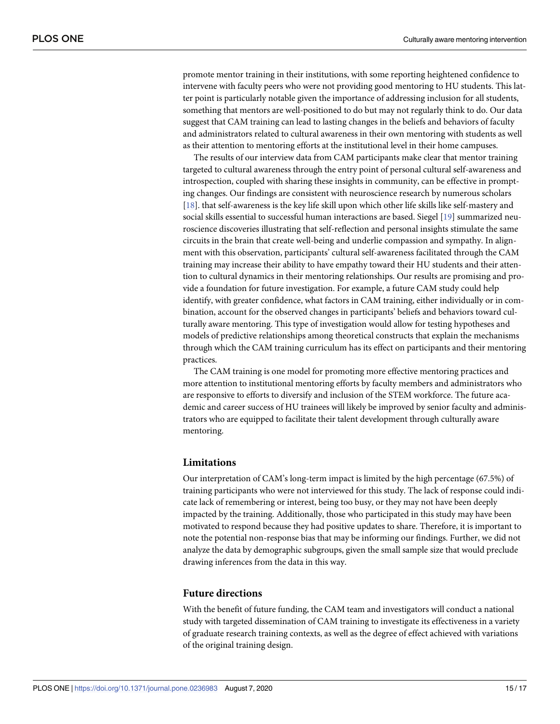<span id="page-14-0"></span>promote mentor training in their institutions, with some reporting heightened confidence to intervene with faculty peers who were not providing good mentoring to HU students. This latter point is particularly notable given the importance of addressing inclusion for all students, something that mentors are well-positioned to do but may not regularly think to do. Our data suggest that CAM training can lead to lasting changes in the beliefs and behaviors of faculty and administrators related to cultural awareness in their own mentoring with students as well as their attention to mentoring efforts at the institutional level in their home campuses.

The results of our interview data from CAM participants make clear that mentor training targeted to cultural awareness through the entry point of personal cultural self-awareness and introspection, coupled with sharing these insights in community, can be effective in prompting changes. Our findings are consistent with neuroscience research by numerous scholars [\[18\]](#page-16-0). that self-awareness is the key life skill upon which other life skills like self-mastery and social skills essential to successful human interactions are based. Siegel [[19](#page-16-0)] summarized neuroscience discoveries illustrating that self-reflection and personal insights stimulate the same circuits in the brain that create well-being and underlie compassion and sympathy. In alignment with this observation, participants' cultural self-awareness facilitated through the CAM training may increase their ability to have empathy toward their HU students and their attention to cultural dynamics in their mentoring relationships. Our results are promising and provide a foundation for future investigation. For example, a future CAM study could help identify, with greater confidence, what factors in CAM training, either individually or in combination, account for the observed changes in participants' beliefs and behaviors toward culturally aware mentoring. This type of investigation would allow for testing hypotheses and models of predictive relationships among theoretical constructs that explain the mechanisms through which the CAM training curriculum has its effect on participants and their mentoring practices.

The CAM training is one model for promoting more effective mentoring practices and more attention to institutional mentoring efforts by faculty members and administrators who are responsive to efforts to diversify and inclusion of the STEM workforce. The future academic and career success of HU trainees will likely be improved by senior faculty and administrators who are equipped to facilitate their talent development through culturally aware mentoring.

#### **Limitations**

Our interpretation of CAM's long-term impact is limited by the high percentage (67.5%) of training participants who were not interviewed for this study. The lack of response could indicate lack of remembering or interest, being too busy, or they may not have been deeply impacted by the training. Additionally, those who participated in this study may have been motivated to respond because they had positive updates to share. Therefore, it is important to note the potential non-response bias that may be informing our findings. Further, we did not analyze the data by demographic subgroups, given the small sample size that would preclude drawing inferences from the data in this way.

#### **Future directions**

With the benefit of future funding, the CAM team and investigators will conduct a national study with targeted dissemination of CAM training to investigate its effectiveness in a variety of graduate research training contexts, as well as the degree of effect achieved with variations of the original training design.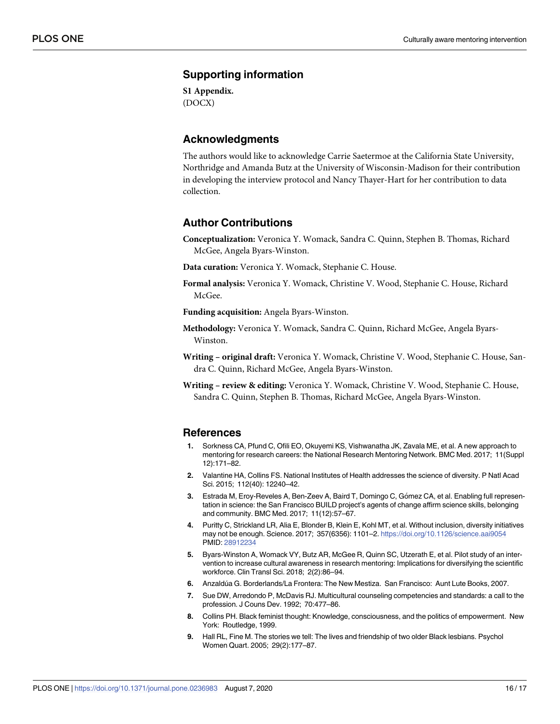## <span id="page-15-0"></span>**Supporting information**

**S1 [Appendix](http://www.plosone.org/article/fetchSingleRepresentation.action?uri=info:doi/10.1371/journal.pone.0236983.s001).** (DOCX)

## **Acknowledgments**

The authors would like to acknowledge Carrie Saetermoe at the California State University, Northridge and Amanda Butz at the University of Wisconsin-Madison for their contribution in developing the interview protocol and Nancy Thayer-Hart for her contribution to data collection.

## **Author Contributions**

**Conceptualization:** Veronica Y. Womack, Sandra C. Quinn, Stephen B. Thomas, Richard McGee, Angela Byars-Winston.

**Data curation:** Veronica Y. Womack, Stephanie C. House.

- **Formal analysis:** Veronica Y. Womack, Christine V. Wood, Stephanie C. House, Richard McGee.
- **Funding acquisition:** Angela Byars-Winston.
- **Methodology:** Veronica Y. Womack, Sandra C. Quinn, Richard McGee, Angela Byars-Winston.
- **Writing – original draft:** Veronica Y. Womack, Christine V. Wood, Stephanie C. House, Sandra C. Quinn, Richard McGee, Angela Byars-Winston.
- **Writing – review & editing:** Veronica Y. Womack, Christine V. Wood, Stephanie C. House, Sandra C. Quinn, Stephen B. Thomas, Richard McGee, Angela Byars-Winston.

#### **References**

- **[1](#page-1-0).** Sorkness CA, Pfund C, Ofili EO, Okuyemi KS, Vishwanatha JK, Zavala ME, et al. A new approach to mentoring for research careers: the National Research Mentoring Network. BMC Med. 2017; 11(Suppl 12):171–82.
- **[2](#page-1-0).** Valantine HA, Collins FS. National Institutes of Health addresses the science of diversity. P Natl Acad Sci. 2015; 112(40): 12240–42.
- **[3](#page-1-0).** Estrada M, Eroy-Reveles A, Ben-Zeev A, Baird T, Domingo C, Gómez CA, et al. Enabling full representation in science: the San Francisco BUILD project's agents of change affirm science skills, belonging and community. BMC Med. 2017; 11(12):57–67.
- **[4](#page-1-0).** Puritty C, Strickland LR, Alia E, Blonder B, Klein E, Kohl MT, et al. Without inclusion, diversity initiatives may not be enough. Science. 2017; 357(6356): 1101–2. <https://doi.org/10.1126/science.aai9054> PMID: [28912234](http://www.ncbi.nlm.nih.gov/pubmed/28912234)
- **[5](#page-1-0).** Byars-Winston A, Womack VY, Butz AR, McGee R, Quinn SC, Utzerath E, et al. Pilot study of an intervention to increase cultural awareness in research mentoring: Implications for diversifying the scientific workforce. Clin Transl Sci. 2018; 2(2):86–94.
- **[6](#page-1-0).** Anzaldu´a G. Borderlands/La Frontera: The New Mestiza. San Francisco: Aunt Lute Books, 2007.
- **[7](#page-1-0).** Sue DW, Arredondo P, McDavis RJ. Multicultural counseling competencies and standards: a call to the profession. J Couns Dev. 1992; 70:477–86.
- **[8](#page-1-0).** Collins PH. Black feminist thought: Knowledge, consciousness, and the politics of empowerment. New York: Routledge, 1999.
- **[9](#page-1-0).** Hall RL, Fine M. The stories we tell: The lives and friendship of two older Black lesbians. Psychol Women Quart. 2005; 29(2):177–87.